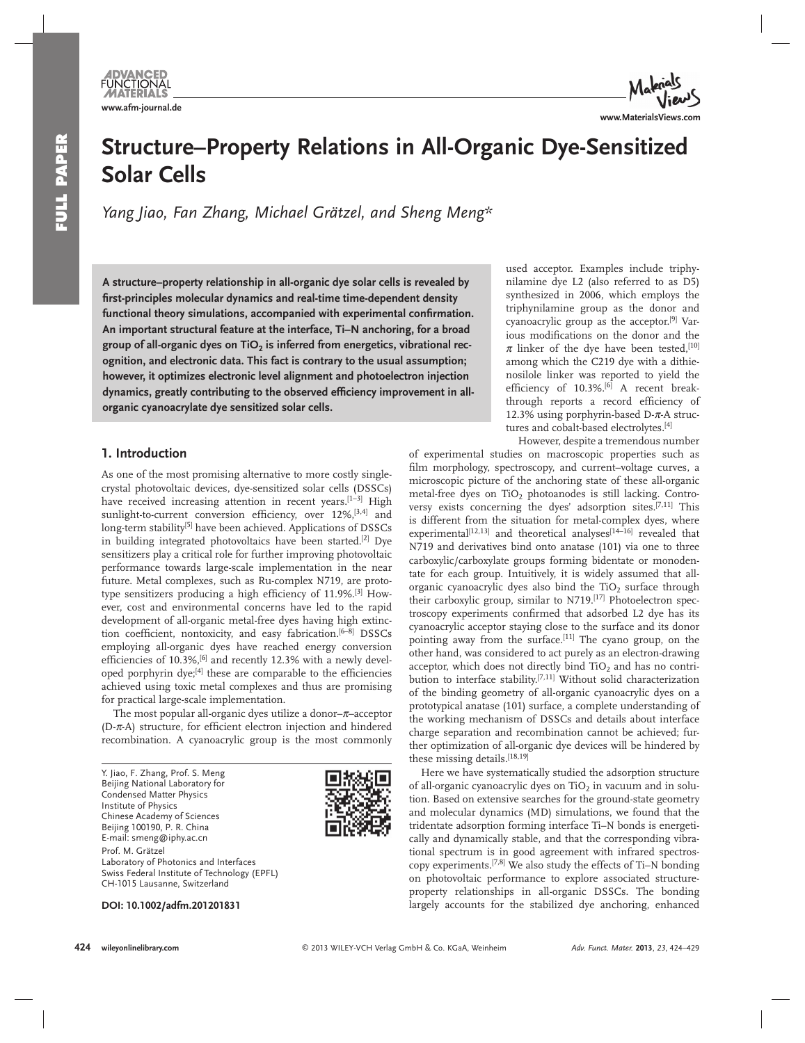

# **Structure–Property Relations in All-Organic Dye-Sensitized Solar Cells**

 *Yang Jiao , Fan Zhang , Michael Grätzel , and Sheng Meng \** 

 **A structure–property relationship in all-organic dye solar cells is revealed by fi rst-principles molecular dynamics and real-time time-dependent density**  functional theory simulations, accompanied with experimental confirmation. **An important structural feature at the interface, Ti–N anchoring, for a broad**  group of all-organic dyes on TiO<sub>2</sub> is inferred from energetics, vibrational rec**ognition, and electronic data. This fact is contrary to the usual assumption; however, it optimizes electronic level alignment and photoelectron injection**  dynamics, greatly contributing to the observed efficiency improvement in all**organic cyanoacrylate dye sensitized solar cells.** 

# **1. Introduction**

 As one of the most promising alternative to more costly singlecrystal photovoltaic devices, dye-sensitized solar cells (DSSCs) have received increasing attention in recent years.<sup>[1-3]</sup> High sunlight-to-current conversion efficiency, over 12%,<sup>[3,4]</sup> and long-term stability<sup>[5]</sup> have been achieved. Applications of DSSCs in building integrated photovoltaics have been started.<sup>[2]</sup> Dye sensitizers play a critical role for further improving photovoltaic performance towards large-scale implementation in the near future. Metal complexes, such as Ru-complex N719, are prototype sensitizers producing a high efficiency of 11.9%.<sup>[3]</sup> However, cost and environmental concerns have led to the rapid development of all-organic metal-free dyes having high extinction coefficient, nontoxicity, and easy fabrication.<sup>[6-8]</sup> DSSCs employing all-organic dyes have reached energy conversion efficiencies of 10.3%,<sup>[6]</sup> and recently 12.3% with a newly developed porphyrin dye;<sup>[4]</sup> these are comparable to the efficiencies achieved using toxic metal complexes and thus are promising for practical large-scale implementation.

The most popular all-organic dyes utilize a donor- $\pi$ -acceptor (D- $\pi$ -A) structure, for efficient electron injection and hindered recombination. A cyanoacrylic group is the most commonly

 Y. Jiao, F. Zhang, Prof. S. Meng Beijing National Laboratory for Condensed Matter Physics Institute of Physics Chinese Academy of Sciences Beijing 100190, P. R. China E-mail: smeng@iphy.ac.cn Prof. M. Grätzel Laboratory of Photonics and Interfaces Swiss Federal Institute of Technology (EPFL) CH-1015 Lausanne, Switzerland



 **DOI: 10.1002/adfm.201201831** 

used acceptor. Examples include triphynilamine dye L2 (also referred to as D5) synthesized in 2006, which employs the triphynilamine group as the donor and cyanoacrylic group as the acceptor.<sup>[9]</sup> Various modifications on the donor and the  $\pi$  linker of the dye have been tested, [10] among which the C219 dye with a dithienosilole linker was reported to yield the efficiency of 10.3%.<sup>[6]</sup> A recent breakthrough reports a record efficiency of 12.3% using porphyrin-based  $D$ - $\pi$ -A structures and cobalt-based electrolytes.<sup>[4]</sup>

However, despite a tremendous number

of experimental studies on macroscopic properties such as film morphology, spectroscopy, and current-voltage curves, a microscopic picture of the anchoring state of these all-organic metal-free dyes on TiO<sub>2</sub> photoanodes is still lacking. Controversy exists concerning the dyes' adsorption sites.<sup>[7,11]</sup> This is different from the situation for metal-complex dyes, where experimental<sup>[12,13]</sup> and theoretical analyses<sup>[14-16]</sup> revealed that N719 and derivatives bind onto anatase (101) via one to three carboxylic/carboxylate groups forming bidentate or monodentate for each group. Intuitively, it is widely assumed that allorganic cyanoacrylic dyes also bind the TiO<sub>2</sub> surface through their carboxylic group, similar to N719.<sup>[17]</sup> Photoelectron spectroscopy experiments confirmed that adsorbed L2 dye has its cyanoacrylic acceptor staying close to the surface and its donor pointing away from the surface.<sup>[11]</sup> The cyano group, on the other hand, was considered to act purely as an electron-drawing acceptor, which does not directly bind  $TiO<sub>2</sub>$  and has no contribution to interface stability.<sup>[7,11]</sup> Without solid characterization of the binding geometry of all-organic cyanoacrylic dyes on a prototypical anatase (101) surface, a complete understanding of the working mechanism of DSSCs and details about interface charge separation and recombination cannot be achieved; further optimization of all-organic dye devices will be hindered by these missing details.<sup>[18,19]</sup>

 Here we have systematically studied the adsorption structure of all-organic cyanoacrylic dyes on  $TiO<sub>2</sub>$  in vacuum and in solution. Based on extensive searches for the ground-state geometry and molecular dynamics (MD) simulations, we found that the tridentate adsorption forming interface Ti–N bonds is energetically and dynamically stable, and that the corresponding vibrational spectrum is in good agreement with infrared spectroscopy experiments.<sup>[7,8]</sup> We also study the effects of Ti-N bonding on photovoltaic performance to explore associated structureproperty relationships in all-organic DSSCs. The bonding largely accounts for the stabilized dye anchoring, enhanced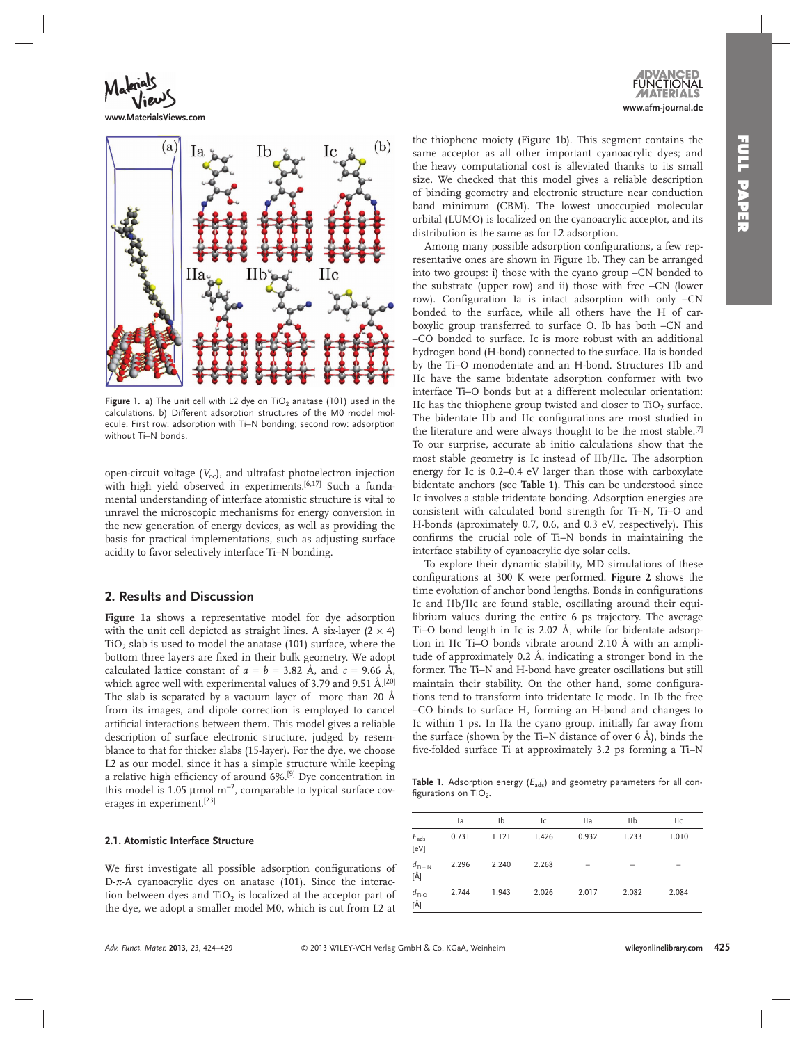

**www.MaterialsViews.com**



Figure 1. a) The unit cell with L2 dye on TiO<sub>2</sub> anatase (101) used in the calculations. b) Different adsorption structures of the M0 model molecule. First row: adsorption with Ti–N bonding; second row: adsorption without Ti–N bonds.

open-circuit voltage  $(V_{\text{oc}})$ , and ultrafast photoelectron injection with high yield observed in experiments.<sup>[6,17]</sup> Such a fundamental understanding of interface atomistic structure is vital to unravel the microscopic mechanisms for energy conversion in the new generation of energy devices, as well as providing the basis for practical implementations, such as adjusting surface acidity to favor selectively interface Ti–N bonding.

# **2. Results and Discussion**

Figure 1a shows a representative model for dye adsorption with the unit cell depicted as straight lines. A six-layer  $(2 \times 4)$ TiO<sub>2</sub> slab is used to model the anatase (101) surface, where the bottom three layers are fixed in their bulk geometry. We adopt calculated lattice constant of  $a = b = 3.82$  Å, and  $c = 9.66$  Å, which agree well with experimental values of 3.79 and 9.51  $\AA$ .<sup>[20]</sup> The slab is separated by a vacuum layer of more than 20 Å from its images, and dipole correction is employed to cancel artificial interactions between them. This model gives a reliable description of surface electronic structure, judged by resemblance to that for thicker slabs (15-layer). For the dye, we choose L2 as our model, since it has a simple structure while keeping a relative high efficiency of around 6%.<sup>[9]</sup> Dye concentration in this model is 1.05 µ mol  $m^{-2}$ , comparable to typical surface coverages in experiment.<sup>[23]</sup>

#### **2.1. Atomistic Interface Structure**

We first investigate all possible adsorption configurations of D- $\pi$ -A cyanoacrylic dyes on anatase (101). Since the interaction between dyes and  $TiO<sub>2</sub>$  is localized at the acceptor part of the dye, we adopt a smaller model M0, which is cut from L2 at the thiophene moiety (Figure 1b). This segment contains the same acceptor as all other important cyanoacrylic dyes; and the heavy computational cost is alleviated thanks to its small size. We checked that this model gives a reliable description of binding geometry and electronic structure near conduction band minimum (CBM). The lowest unoccupied molecular orbital (LUMO) is localized on the cyanoacrylic acceptor, and its distribution is the same as for L2 adsorption.

Among many possible adsorption configurations, a few representative ones are shown in Figure 1b. They can be arranged into two groups: i) those with the cyano group –CN bonded to the substrate (upper row) and ii) those with free –CN (lower row). Configuration Ia is intact adsorption with only -CN bonded to the surface, while all others have the H of carboxylic group transferred to surface O. Ib has both –CN and –CO bonded to surface. Ic is more robust with an additional hydrogen bond (H-bond) connected to the surface. IIa is bonded by the Ti–O monodentate and an H-bond. Structures IIb and IIc have the same bidentate adsorption conformer with two interface Ti–O bonds but at a different molecular orientation: IIc has the thiophene group twisted and closer to  $TiO<sub>2</sub>$  surface. The bidentate IIb and IIc configurations are most studied in the literature and were always thought to be the most stable.<sup>[7]</sup> To our surprise, accurate ab initio calculations show that the most stable geometry is Ic instead of IIb/IIc. The adsorption energy for Ic is 0.2–0.4 eV larger than those with carboxylate bidentate anchors (see **Table 1** ). This can be understood since Ic involves a stable tridentate bonding. Adsorption energies are consistent with calculated bond strength for Ti–N, Ti–O and H-bonds (aproximately 0.7, 0.6, and 0.3 eV, respectively). This confirms the crucial role of Ti-N bonds in maintaining the interface stability of cyanoacrylic dye solar cells.

 To explore their dynamic stability, MD simulations of these configurations at 300 K were performed. Figure 2 shows the time evolution of anchor bond lengths. Bonds in configurations Ic and IIb/IIc are found stable, oscillating around their equilibrium values during the entire 6 ps trajectory. The average Ti–O bond length in Ic is 2.02 Å, while for bidentate adsorption in IIc Ti–O bonds vibrate around 2.10 Å with an amplitude of approximately 0.2 Å, indicating a stronger bond in the former. The Ti–N and H-bond have greater oscillations but still maintain their stability. On the other hand, some configurations tend to transform into tridentate Ic mode. In Ib the free –CO binds to surface H, forming an H-bond and changes to Ic within 1 ps. In IIa the cyano group, initially far away from the surface (shown by the Ti–N distance of over 6 Å), binds the five-folded surface Ti at approximately 3.2 ps forming a Ti-N

Table 1. Adsorption energy ( $E_{\text{ads}}$ ) and geometry parameters for all configurations on  $TiO<sub>2</sub>$ .

|                                 | la    | Ib    | lc    | <b>Ila</b> | IIb   | <b>IIc</b> |
|---------------------------------|-------|-------|-------|------------|-------|------------|
| $E_{ads}$<br>[eV]               | 0.731 | 1.121 | 1.426 | 0.932      | 1.233 | 1.010      |
| $d_{\text{Ti}-\text{N}}$<br>[Å] | 2.296 | 2.240 | 2.268 |            |       |            |
| $d_{\text{Ti-O}}$<br>[Å]        | 2.744 | 1.943 | 2.026 | 2.017      | 2.082 | 2.084      |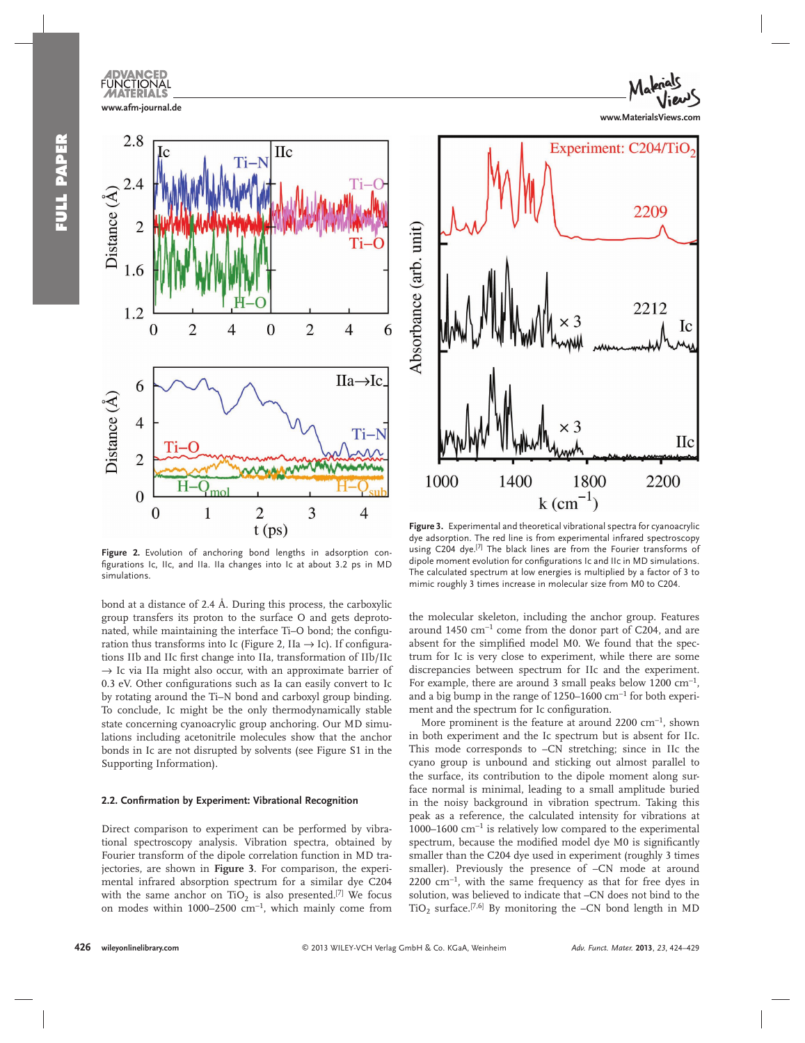



Figure 2. Evolution of anchoring bond lengths in adsorption configurations Ic, IIc, and IIa. IIa changes into Ic at about 3.2 ps in MD simulations.

bond at a distance of 2.4 Å. During this process, the carboxylic group transfers its proton to the surface O and gets deprotonated, while maintaining the interface Ti-O bond; the configuration thus transforms into Ic (Figure 2, IIa  $\rightarrow$  Ic). If configurations IIb and IIc first change into IIa, transformation of IIb/IIc  $\rightarrow$  Ic via IIa might also occur, with an approximate barrier of 0.3 eV. Other configurations such as Ia can easily convert to Ic by rotating around the Ti–N bond and carboxyl group binding. To conclude, Ic might be the only thermodynamically stable state concerning cyanoacrylic group anchoring. Our MD simulations including acetonitrile molecules show that the anchor bonds in Ic are not disrupted by solvents (see Figure S1 in the Supporting Information).

#### **2.2. Confirmation by Experiment: Vibrational Recognition**

 Direct comparison to experiment can be performed by vibrational spectroscopy analysis. Vibration spectra, obtained by Fourier transform of the dipole correlation function in MD trajectories, are shown in **Figure 3** . For comparison, the experimental infrared absorption spectrum for a similar dye C204 with the same anchor on  $TiO<sub>2</sub>$  is also presented.<sup>[7]</sup> We focus on modes within 1000–2500  $cm^{-1}$ , which mainly come from



Figure 3. Experimental and theoretical vibrational spectra for cyanoacrylic dye adsorption. The red line is from experimental infrared spectroscopy using C204 dye.<sup>[7]</sup> The black lines are from the Fourier transforms of dipole moment evolution for configurations Ic and IIc in MD simulations. The calculated spectrum at low energies is multiplied by a factor of 3 to mimic roughly 3 times increase in molecular size from M0 to C204.

the molecular skeleton, including the anchor group. Features around 1450  $\text{cm}^{-1}$  come from the donor part of C204, and are absent for the simplified model M0. We found that the spectrum for Ic is very close to experiment, while there are some discrepancies between spectrum for IIc and the experiment. For example, there are around 3 small peaks below 1200  $cm^{-1}$ , and a big bump in the range of 1250–1600  $cm^{-1}$  for both experiment and the spectrum for Ic configuration.

More prominent is the feature at around 2200 cm<sup>-1</sup>, shown in both experiment and the Ic spectrum but is absent for IIc. This mode corresponds to –CN stretching; since in IIc the cyano group is unbound and sticking out almost parallel to the surface, its contribution to the dipole moment along surface normal is minimal, leading to a small amplitude buried in the noisy background in vibration spectrum. Taking this peak as a reference, the calculated intensity for vibrations at 1000–1600 cm<sup>-1</sup> is relatively low compared to the experimental spectrum, because the modified model dye M0 is significantly smaller than the C204 dye used in experiment (roughly 3 times smaller). Previously the presence of –CN mode at around 2200 cm<sup>-1</sup>, with the same frequency as that for free dyes in solution, was believed to indicate that –CN does not bind to the TiO<sub>2</sub> surface.<sup>[7,6]</sup> By monitoring the  $-CN$  bond length in MD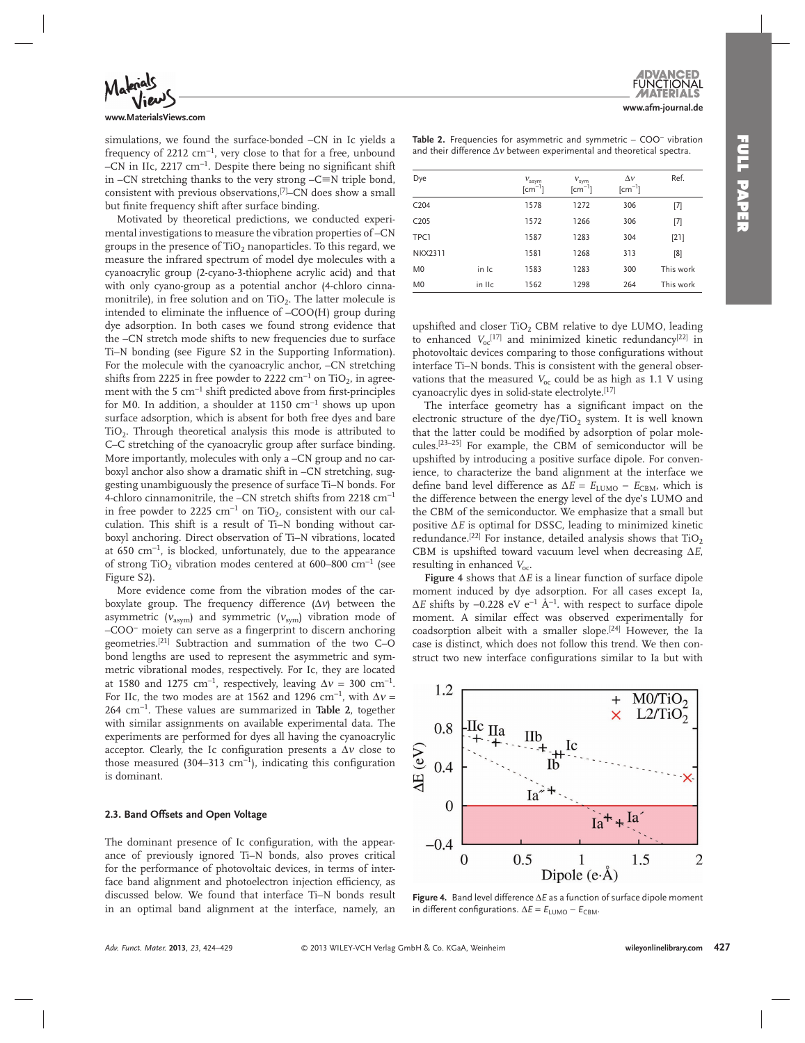

#### **www.MaterialsViews.com**

simulations, we found the surface-bonded –CN in Ic yields a frequency of 2212 cm<sup>-1</sup>, very close to that for a free, unbound –CN in IIc, 2217 cm<sup>-1</sup>. Despite there being no significant shift in  $-CN$  stretching thanks to the very strong  $-C \equiv N$  triple bond, consistent with previous observations,<sup>[7]</sup>-CN does show a small but finite frequency shift after surface binding.

 Motivated by theoretical predictions, we conducted experimental investigations to measure the vibration properties of –CN groups in the presence of  $TiO<sub>2</sub>$  nanoparticles. To this regard, we measure the infrared spectrum of model dye molecules with a cyanoacrylic group (2-cyano-3-thiophene acrylic acid) and that with only cyano-group as a potential anchor (4-chloro cinnamonitrile), in free solution and on  $TiO<sub>2</sub>$ . The latter molecule is intended to eliminate the influence of  $-COO(H)$  group during dye adsorption. In both cases we found strong evidence that the –CN stretch mode shifts to new frequencies due to surface Ti–N bonding (see Figure S2 in the Supporting Information). For the molecule with the cyanoacrylic anchor, –CN stretching shifts from 2225 in free powder to 2222 cm<sup>-1</sup> on TiO<sub>2</sub>, in agreement with the 5  $cm^{-1}$  shift predicted above from first-principles for M0. In addition, a shoulder at 1150  $cm^{-1}$  shows up upon surface adsorption, which is absent for both free dyes and bare TiO<sub>2</sub>. Through theoretical analysis this mode is attributed to C–C stretching of the cyanoacrylic group after surface binding. More importantly, molecules with only a –CN group and no carboxyl anchor also show a dramatic shift in –CN stretching, suggesting unambiguously the presence of surface Ti–N bonds. For 4-chloro cinnamonitrile, the –CN stretch shifts from 2218 cm<sup>-1</sup> in free powder to 2225  $cm^{-1}$  on TiO<sub>2</sub>, consistent with our calculation. This shift is a result of Ti–N bonding without carboxyl anchoring. Direct observation of Ti–N vibrations, located at  $650 \text{ cm}^{-1}$ , is blocked, unfortunately, due to the appearance of strong TiO<sub>2</sub> vibration modes centered at 600–800 cm<sup>-1</sup> (see Figure S2).

 More evidence come from the vibration modes of the carboxylate group. The frequency difference  $(\Delta v)$  between the asymmetric ( $v_{\text{asym}}$ ) and symmetric ( $v_{\text{sym}}$ ) vibration mode of –COO − moiety can serve as a fi ngerprint to discern anchoring geometries. [21] Subtraction and summation of the two C–O bond lengths are used to represent the asymmetric and symmetric vibrational modes, respectively. For Ic, they are located at 1580 and 1275 cm<sup>-1</sup>, respectively, leaving  $\Delta v = 300$  cm<sup>-1</sup>. For IIc, the two modes are at 1562 and 1296 cm<sup>-1</sup>, with  $\Delta v =$ 264 cm<sup>-1</sup>. These values are summarized in **Table 2**, together with similar assignments on available experimental data. The experiments are performed for dyes all having the cyanoacrylic acceptor. Clearly, the Ic configuration presents a  $\Delta v$  close to those measured (304–313 cm<sup>-1</sup>), indicating this configuration is dominant.

#### **2.3. Band Offsets and Open Voltage**

The dominant presence of Ic configuration, with the appearance of previously ignored Ti–N bonds, also proves critical for the performance of photovoltaic devices, in terms of interface band alignment and photoelectron injection efficiency, as discussed below. We found that interface Ti–N bonds result in an optimal band alignment at the interface, namely, an

Table 2. Frequencies for asymmetric and symmetric – COO<sup>−</sup> vibration and their difference  $\Delta v$  between experimental and theoretical spectra.

| Dye              |        | $V_{\text{asym}}$<br>$\lceil$ cm <sup>-1</sup> ] | $V_{sym}$<br>$\lceil$ cm $^{-1}$ ] | $\Delta v$<br>$\lceil$ cm <sup>-1</sup> ] | Ref.      |
|------------------|--------|--------------------------------------------------|------------------------------------|-------------------------------------------|-----------|
| C <sub>204</sub> |        | 1578                                             | 1272                               | 306                                       | $[7]$     |
| C <sub>205</sub> |        | 1572                                             | 1266                               | 306                                       | $[7]$     |
| TPC1             |        | 1587                                             | 1283                               | 304                                       | $[21]$    |
| <b>NKX2311</b>   |        | 1581                                             | 1268                               | 313                                       | [8]       |
| M <sub>0</sub>   | in Ic  | 1583                                             | 1283                               | 300                                       | This work |
| M <sub>0</sub>   | in IIc | 1562                                             | 1298                               | 264                                       | This work |

upshifted and closer TiO<sub>2</sub> CBM relative to dye LUMO, leading to enhanced  $V_{oc}^{[17]}$  and minimized kinetic redundancy<sup>[22]</sup> in photovoltaic devices comparing to those configurations without interface Ti–N bonds. This is consistent with the general observations that the measured  $V_{\text{oc}}$  could be as high as 1.1 V using cyanoacrylic dyes in solid-state electrolyte. [17]

The interface geometry has a significant impact on the electronic structure of the dye/TiO<sub>2</sub> system. It is well known that the latter could be modified by adsorption of polar molecules.<sup>[23-25]</sup> For example, the CBM of semiconductor will be upshifted by introducing a positive surface dipole. For convenience, to characterize the band alignment at the interface we define band level difference as  $\Delta E = E_{\text{LUMO}} - E_{\text{CBM}}$ , which is the difference between the energy level of the dye's LUMO and the CBM of the semiconductor. We emphasize that a small but positive  $\Delta E$  is optimal for DSSC, leading to minimized kinetic redundance.<sup>[22]</sup> For instance, detailed analysis shows that  $TiO<sub>2</sub>$ CBM is upshifted toward vacuum level when decreasing Δ*E* , resulting in enhanced  $V_{\text{oc}}$ .

**Figure 4** shows that Δ*E* is a linear function of surface dipole moment induced by dye adsorption. For all cases except Ia,  $\Delta E$  shifts by  $-0.228$  eV e<sup>-1</sup> Å<sup>-1</sup>. with respect to surface dipole moment. A similar effect was observed experimentally for coadsorption albeit with a smaller slope.<sup>[24]</sup> However, the Ia case is distinct, which does not follow this trend. We then construct two new interface configurations similar to Ia but with



 **Figure 4 .** Band level difference Δ*E* as a function of surface dipole moment in different configurations.  $\Delta E = E_{LUMO} - E_{CBM}$ .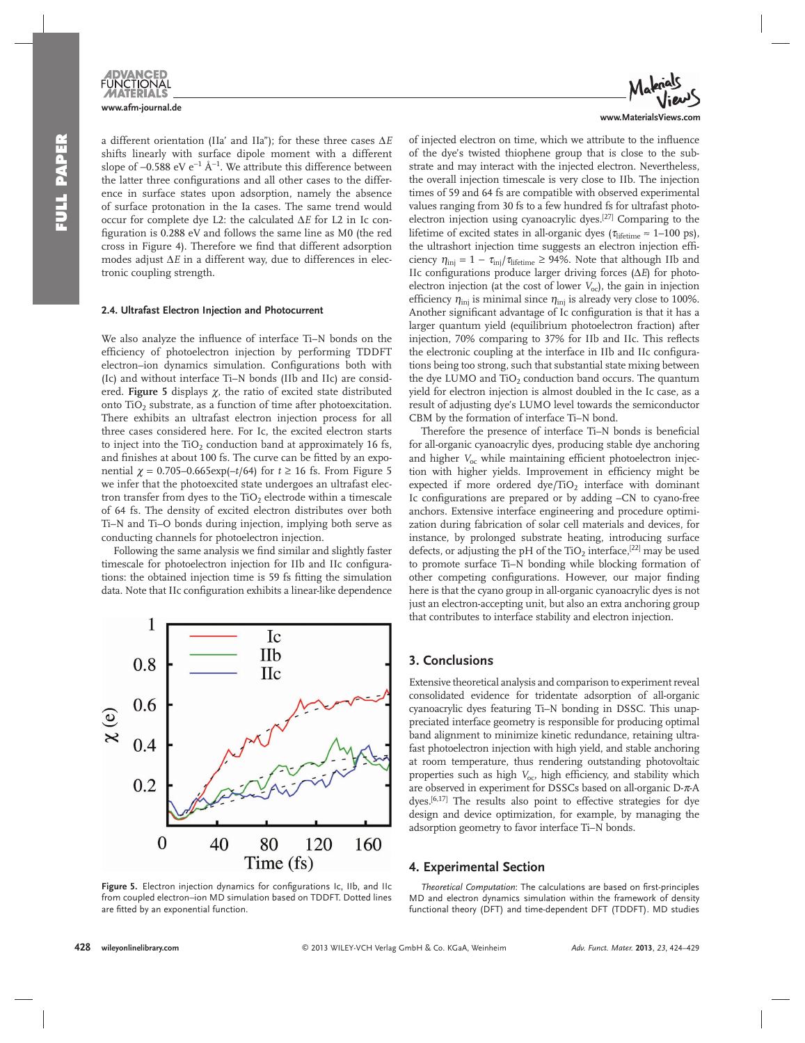

a different orientation (IIa' and IIa"); for these three cases Δ*E* shifts linearly with surface dipole moment with a different slope of –0.588 eV e<sup>-1</sup> Å<sup>-1</sup>. We attribute this difference between the latter three configurations and all other cases to the difference in surface states upon adsorption, namely the absence of surface protonation in the Ia cases. The same trend would occur for complete dye L2: the calculated Δ*E* for L2 in Ic configuration is 0.288 eV and follows the same line as M0 (the red cross in Figure 4). Therefore we find that different adsorption modes adjust Δ*E* in a different way, due to differences in electronic coupling strength.

#### **2.4. Ultrafast Electron Injection and Photocurrent**

We also analyze the influence of interface Ti-N bonds on the efficiency of photoelectron injection by performing TDDFT electron–ion dynamics simulation. Configurations both with (Ic) and without interface Ti–N bonds (IIb and IIc) are considered. **Figure 5** displays  $\chi$ , the ratio of excited state distributed onto  $TiO<sub>2</sub>$  substrate, as a function of time after photoexcitation. There exhibits an ultrafast electron injection process for all three cases considered here. For Ic, the excited electron starts to inject into the TiO<sub>2</sub> conduction band at approximately 16 fs, and finishes at about 100 fs. The curve can be fitted by an exponential  $χ = 0.705-0.665 \exp(-t/64)$  for  $t ≥ 16$  fs. From Figure 5 we infer that the photoexcited state undergoes an ultrafast electron transfer from dyes to the  $TiO<sub>2</sub>$  electrode within a timescale of 64 fs. The density of excited electron distributes over both Ti–N and Ti–O bonds during injection, implying both serve as conducting channels for photoelectron injection.

Following the same analysis we find similar and slightly faster timescale for photoelectron injection for IIb and IIc configurations: the obtained injection time is 59 fs fitting the simulation data. Note that IIc configuration exhibits a linear-like dependence



Figure 5. Electron injection dynamics for configurations Ic, IIb, and IIc from coupled electron–ion MD simulation based on TDDFT. Dotted lines are fitted by an exponential function.



of injected electron on time, which we attribute to the influence of the dye's twisted thiophene group that is close to the substrate and may interact with the injected electron. Nevertheless, the overall injection timescale is very close to IIb. The injection times of 59 and 64 fs are compatible with observed experimental values ranging from 30 fs to a few hundred fs for ultrafast photoelectron injection using cyanoacrylic dyes.<sup>[27]</sup> Comparing to the lifetime of excited states in all-organic dyes ( $\tau_{\text{lifetime}} \approx 1-100 \text{ ps}$ ), the ultrashort injection time suggests an electron injection efficiency  $\eta_{\rm inj} = 1 - \tau_{\rm inj}/\tau_{\rm lifetime} \geq 94\%$ . Note that although IIb and IIc configurations produce larger driving forces (Δ*E*) for photoelectron injection (at the cost of lower *V*<sub>oc</sub>), the gain in injection efficiency  $\eta_{\text{inj}}$  is minimal since  $\eta_{\text{inj}}$  is already very close to 100%. Another significant advantage of Ic configuration is that it has a larger quantum yield (equilibrium photoelectron fraction) after injection, 70% comparing to 37% for IIb and IIc. This reflects the electronic coupling at the interface in IIb and IIc configurations being too strong, such that substantial state mixing between the dye LUMO and  $TiO<sub>2</sub>$  conduction band occurs. The quantum yield for electron injection is almost doubled in the Ic case, as a result of adjusting dye's LUMO level towards the semiconductor CBM by the formation of interface Ti–N bond.

Therefore the presence of interface Ti–N bonds is beneficial for all-organic cyanoacrylic dyes, producing stable dye anchoring and higher  $V_{\text{oc}}$  while maintaining efficient photoelectron injection with higher yields. Improvement in efficiency might be expected if more ordered  $\text{dye/TiO}_2$  interface with dominant Ic configurations are prepared or by adding -CN to cyano-free anchors. Extensive interface engineering and procedure optimization during fabrication of solar cell materials and devices, for instance, by prolonged substrate heating, introducing surface defects, or adjusting the pH of the  $TiO<sub>2</sub>$  interface,  $^{[22]}$  may be used to promote surface Ti–N bonding while blocking formation of other competing configurations. However, our major finding here is that the cyano group in all-organic cyanoacrylic dyes is not just an electron-accepting unit, but also an extra anchoring group that contributes to interface stability and electron injection.

# **3. Conclusions**

 Extensive theoretical analysis and comparison to experiment reveal consolidated evidence for tridentate adsorption of all-organic cyanoacrylic dyes featuring Ti–N bonding in DSSC. This unappreciated interface geometry is responsible for producing optimal band alignment to minimize kinetic redundance, retaining ultrafast photoelectron injection with high yield, and stable anchoring at room temperature, thus rendering outstanding photovoltaic properties such as high *V*<sub>oc</sub>, high efficiency, and stability which are observed in experiment for DSSCs based on all-organic D- $\pi$ -A dyes.<sup>[6,17]</sup> The results also point to effective strategies for dye design and device optimization, for example, by managing the adsorption geometry to favor interface Ti–N bonds.

# **4. Experimental Section**

*Theoretical Computation*: The calculations are based on first-principles MD and electron dynamics simulation within the framework of density functional theory (DFT) and time-dependent DFT (TDDFT). MD studies